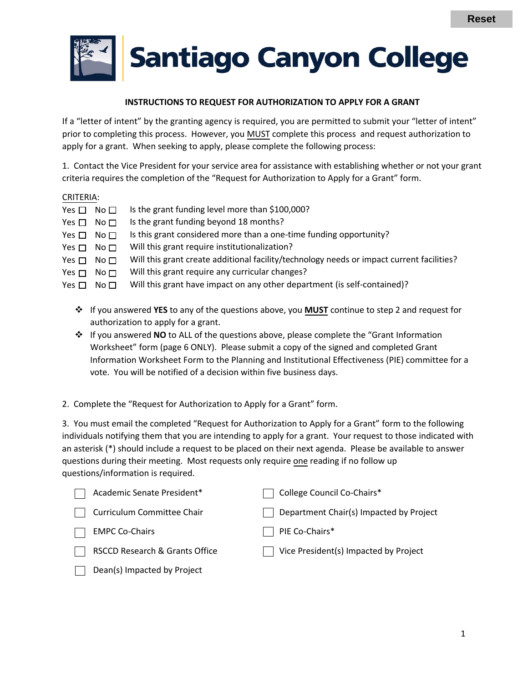



#### **INSTRUCTIONS TO REQUEST FOR AUTHORIZATION TO APPLY FOR A GRANT**

If a "letter of intent" by the granting agency is required, you are permitted to submit your "letter of intent" prior to completing this process. However, you MUST complete this process and request authorization to apply for a grant. When seeking to apply, please complete the following process:

1. Contact the Vice President for your service area for assistance with establishing whether or not your grant criteria requires the completion of the "Request for Authorization to Apply for a Grant" form.

#### CRITERIA:

| Yes $\square$ | No $\square$    | Is the grant funding level more than \$100,000?                                           |
|---------------|-----------------|-------------------------------------------------------------------------------------------|
| Yes $\square$ | No <sub>1</sub> | Is the grant funding beyond 18 months?                                                    |
| Yes $\Box$    | No <sub>1</sub> | Is this grant considered more than a one-time funding opportunity?                        |
| Yes $\square$ | No <sub>1</sub> | Will this grant require institutionalization?                                             |
| Yes $\square$ | No <sub>1</sub> | Will this grant create additional facility/technology needs or impact current facilities? |
| Yes $\Box$    | No <sub>1</sub> | Will this grant require any curricular changes?                                           |
| Yes $\Box$    | No <sub>1</sub> | Will this grant have impact on any other department (is self-contained)?                  |
|               |                 |                                                                                           |
|               |                 |                                                                                           |

- If you answered **YES** to any of the questions above, you **MUST** continue to step 2 and request for authorization to apply for a grant.
- If you answered **NO** to ALL of the questions above, please complete the "Grant Information Worksheet" form (page 6 ONLY). Please submit a copy of the signed and completed Grant Information Worksheet Form to the Planning and Institutional Effectiveness (PIE) committee for a vote. You will be notified of a decision within five business days.
- 2. Complete the "Request for Authorization to Apply for a Grant" form.

3. You must email the completed "Request for Authorization to Apply for a Grant" form to the following individuals notifying them that you are intending to apply for a grant. Your request to those indicated with an asterisk (\*) should include a request to be placed on their next agenda. Please be available to answer questions during their meeting. Most requests only require one reading if no follow up questions/information is required.

| Academic Senate President*     | College Council Co-Chairs*              |
|--------------------------------|-----------------------------------------|
| Curriculum Committee Chair     | Department Chair(s) Impacted by Project |
| <b>EMPC Co-Chairs</b>          | PIE Co-Chairs*                          |
| RSCCD Research & Grants Office | Vice President(s) Impacted by Project   |
| Dean(s) Impacted by Project    |                                         |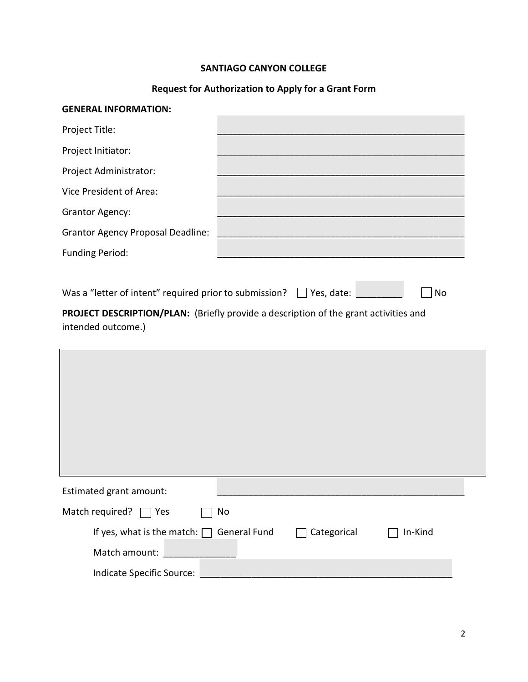## **SANTIAGO CANYON COLLEGE**

## **Request for Authorization to Apply for a Grant Form**

| <b>GENERAL INFORMATION:</b>                                                                                |                        |  |  |
|------------------------------------------------------------------------------------------------------------|------------------------|--|--|
| Project Title:                                                                                             |                        |  |  |
| Project Initiator:                                                                                         |                        |  |  |
| Project Administrator:                                                                                     |                        |  |  |
| Vice President of Area:                                                                                    |                        |  |  |
| <b>Grantor Agency:</b>                                                                                     |                        |  |  |
| <b>Grantor Agency Proposal Deadline:</b>                                                                   |                        |  |  |
| <b>Funding Period:</b>                                                                                     |                        |  |  |
|                                                                                                            |                        |  |  |
| Was a "letter of intent" required prior to submission? $\Box$ Yes, date:                                   | <b>No</b>              |  |  |
| PROJECT DESCRIPTION/PLAN: (Briefly provide a description of the grant activities and<br>intended outcome.) |                        |  |  |
|                                                                                                            |                        |  |  |
|                                                                                                            |                        |  |  |
|                                                                                                            |                        |  |  |
|                                                                                                            |                        |  |  |
|                                                                                                            |                        |  |  |
|                                                                                                            |                        |  |  |
| Estimated grant amount:                                                                                    |                        |  |  |
| Match required?<br>Yes                                                                                     | No                     |  |  |
| If yes, what is the match: $\Box$ General Fund                                                             | Categorical<br>In-Kind |  |  |
| Match amount:                                                                                              |                        |  |  |

Indicate Specific Source: \_\_\_\_\_\_\_\_\_\_\_\_\_\_\_\_\_\_\_\_\_\_\_\_\_\_\_\_\_\_\_\_\_\_\_\_\_\_\_\_\_\_\_\_\_\_\_\_\_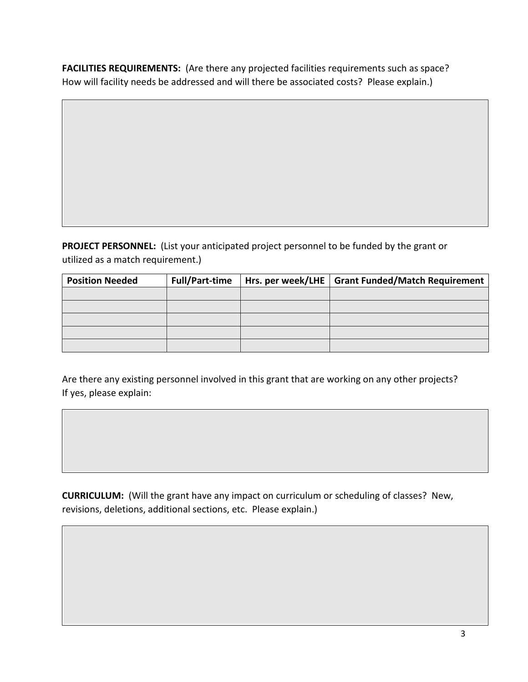**FACILITIES REQUIREMENTS:** (Are there any projected facilities requirements such as space? How will facility needs be addressed and will there be associated costs? Please explain.)

**PROJECT PERSONNEL:** (List your anticipated project personnel to be funded by the grant or utilized as a match requirement.)

| <b>Position Needed</b> | <b>Full/Part-time</b> | Hrs. per week/LHE   Grant Funded/Match Requirement |
|------------------------|-----------------------|----------------------------------------------------|
|                        |                       |                                                    |
|                        |                       |                                                    |
|                        |                       |                                                    |
|                        |                       |                                                    |
|                        |                       |                                                    |

Are there any existing personnel involved in this grant that are working on any other projects? If yes, please explain:

**CURRICULUM:** (Will the grant have any impact on curriculum or scheduling of classes? New, revisions, deletions, additional sections, etc. Please explain.)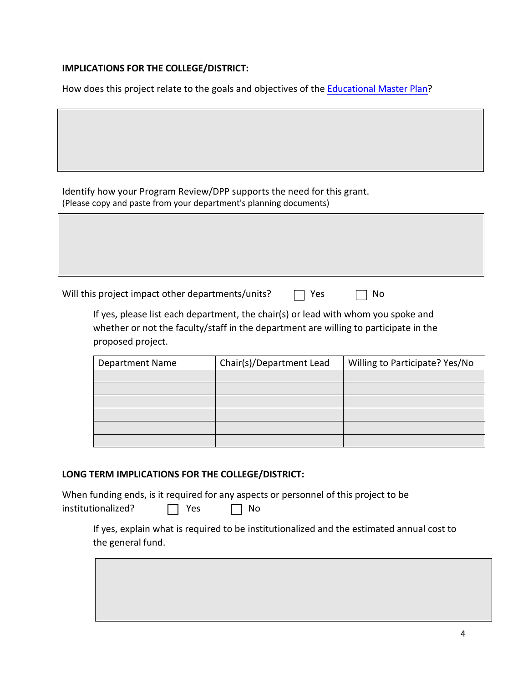## **IMPLICATIONS FOR THE COLLEGE/DISTRICT:**

How does this project relate to the goals and objectives of the **E[ducational Master Plan](https://www.sccollege.edu/Departments/AcademicSenate/EMPC/EMPC%20Documents/SCC%202016-2022%20Educational%20Master%20Plan.pdf)?** 

Identify how your Program Review/DPP supports the need for this grant. (Please copy and paste from your department's planning documents)

Will this project impact other departments/units?  $\Box$  Yes  $\Box$  No

If yes, please list each department, the chair(s) or lead with whom you spoke and whether or not the faculty/staff in the department are willing to participate in the proposed project.

| <b>Department Name</b> | Chair(s)/Department Lead | Willing to Participate? Yes/No |  |  |
|------------------------|--------------------------|--------------------------------|--|--|
|                        |                          |                                |  |  |
|                        |                          |                                |  |  |
|                        |                          |                                |  |  |
|                        |                          |                                |  |  |
|                        |                          |                                |  |  |
|                        |                          |                                |  |  |

### **LONG TERM IMPLICATIONS FOR THE COLLEGE/DISTRICT:**

When funding ends, is it required for any aspects or personnel of this project to be  $institutionalized$ ?  $\Box$  Yes  $\Box$  No

If yes, explain what is required to be institutionalized and the estimated annual cost to the general fund.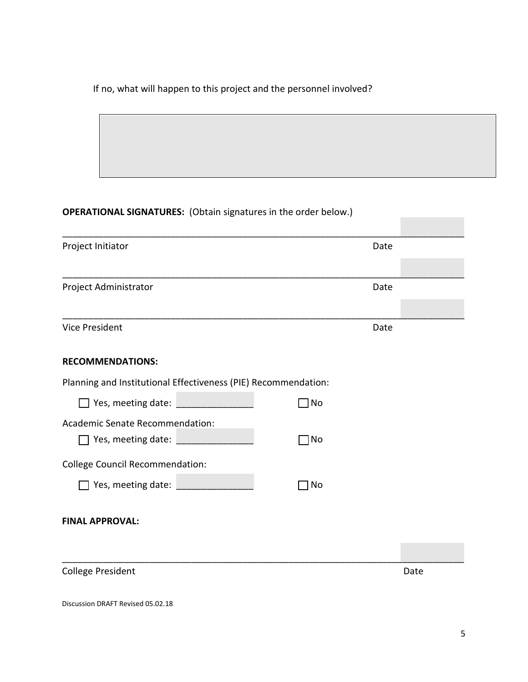If no, what will happen to this project and the personnel involved?

# **OPERATIONAL SIGNATURES:** (Obtain signatures in the order below.)

| Project Initiator                                              | Date |  |  |
|----------------------------------------------------------------|------|--|--|
|                                                                |      |  |  |
| Project Administrator                                          | Date |  |  |
|                                                                |      |  |  |
| <b>Vice President</b>                                          | Date |  |  |
| <b>RECOMMENDATIONS:</b>                                        |      |  |  |
| Planning and Institutional Effectiveness (PIE) Recommendation: |      |  |  |
| $\Box$ Yes, meeting date:                                      | ]No  |  |  |
| Academic Senate Recommendation:                                |      |  |  |
| Yes, meeting date:                                             | 7No  |  |  |
| <b>College Council Recommendation:</b>                         |      |  |  |
| $\Box$ Yes, meeting date:                                      | ∩No  |  |  |
| <b>FINAL APPROVAL:</b>                                         |      |  |  |
|                                                                |      |  |  |
| <b>College President</b>                                       | Date |  |  |

Discussion DRAFT Revised 05.02.18